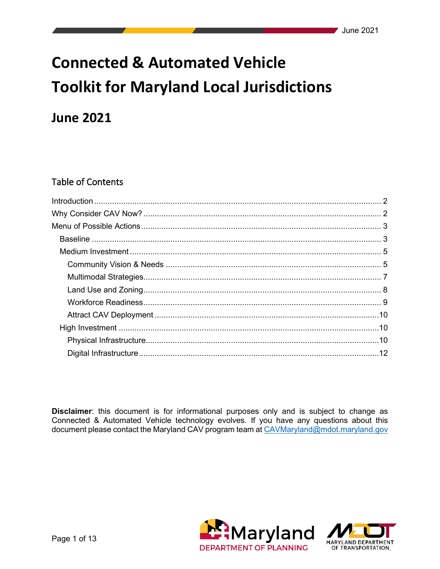# **Connected & Automated Vehicle Toolkit for Maryland Local Jurisdictions**

# **June 2021**

# **Table of Contents**

Disclaimer: this document is for informational purposes only and is subject to change as Connected & Automated Vehicle technology evolves. If you have any questions about this document please contact the Maryland CAV program team at CAVMaryland@mdot.maryland.gov



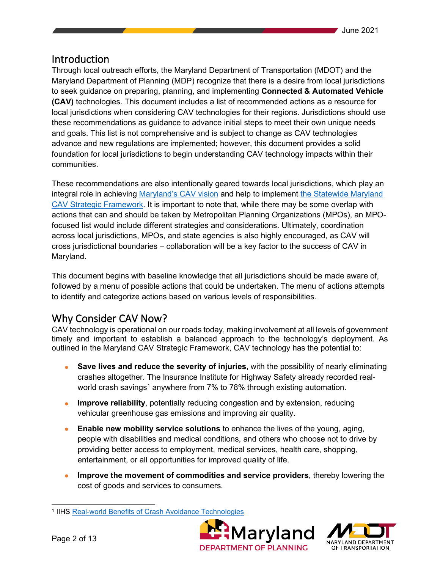# <span id="page-1-0"></span>Introduction

Through local outreach efforts, the Maryland Department of Transportation (MDOT) and the Maryland Department of Planning (MDP) recognize that there is a desire from local jurisdictions to seek guidance on preparing, planning, and implementing **Connected & Automated Vehicle (CAV)** technologies. This document includes a list of recommended actions as a resource for local jurisdictions when considering CAV technologies for their regions. Jurisdictions should use these recommendations as guidance to advance initial steps to meet their own unique needs and goals. This list is not comprehensive and is subject to change as CAV technologies advance and new regulations are implemented; however, this document provides a solid foundation for local jurisdictions to begin understanding CAV technology impacts within their communities.

These recommendations are also intentionally geared towards local jurisdictions, which play an integral role in achieving [Maryland's CAV vision](https://mva.maryland.gov/safety/Pages/MarylandCAV.aspx#strategicframework) and help to implement [the Statewide Maryland](https://mva.maryland.gov/safety/Pages/MarylandCAV.aspx#strategicframework)  [CAV Strategic Framework.](https://mva.maryland.gov/safety/Pages/MarylandCAV.aspx#strategicframework) It is important to note that, while there may be some overlap with actions that can and should be taken by Metropolitan Planning Organizations (MPOs), an MPOfocused list would include different strategies and considerations. Ultimately, coordination across local jurisdictions, MPOs, and state agencies is also highly encouraged, as CAV will cross jurisdictional boundaries – collaboration will be a key factor to the success of CAV in Maryland.

This document begins with baseline knowledge that all jurisdictions should be made aware of, followed by a menu of possible actions that could be undertaken. The menu of actions attempts to identify and categorize actions based on various levels of responsibilities.

# <span id="page-1-1"></span>Why Consider CAV Now?

CAV technology is operational on our roads today, making involvement at all levels of government timely and important to establish a balanced approach to the technology's deployment. As outlined in the Maryland CAV Strategic Framework, CAV technology has the potential to:

- **Save lives and reduce the severity of injuries**, with the possibility of nearly eliminating crashes altogether. The Insurance Institute for Highway Safety already recorded real-world crash savings<sup>[1](#page-1-2)</sup> anywhere from 7% to 78% through existing automation.
- **Improve reliability**, potentially reducing congestion and by extension, reducing vehicular greenhouse gas emissions and improving air quality.
- **Enable new mobility service solutions** to enhance the lives of the young, aging, people with disabilities and medical conditions, and others who choose not to drive by providing better access to employment, medical services, health care, shopping, entertainment, or all opportunities for improved quality of life.
- **Improve the movement of commodities and service providers**, thereby lowering the cost of goods and services to consumers.

<span id="page-1-2"></span><sup>1</sup> IIHS [Real-world Benefits of Crash Avoidance Technologies](https://www.iihs.org/media/259e5bbd-f859-42a7-bd54-3888f7a2d3ef/shuYZQ/Topics/ADVANCED%20DRIVER%20ASSISTANCE/IIHS-real-world-CA-benefits.pdf)



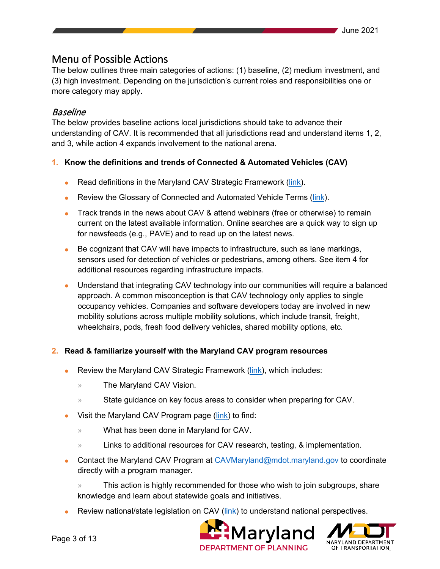# <span id="page-2-0"></span>Menu of Possible Actions

The below outlines three main categories of actions: (1) baseline, (2) medium investment, and (3) high investment. Depending on the jurisdiction's current roles and responsibilities one or more category may apply.

# <span id="page-2-1"></span>Baseline

The below provides baseline actions local jurisdictions should take to advance their understanding of CAV. It is recommended that all jurisdictions read and understand items 1, 2, and 3, while action 4 expands involvement to the national arena.

## **1. Know the definitions and trends of Connected & Automated Vehicles (CAV)**

- Read definitions in the Maryland CAV Strategic Framework [\(link\)](https://mva.maryland.gov/safety/Documents/Maryland-CAV-Strategic-Framework.pdf).
- Review the Glossary of Connected and Automated Vehicle Terms [\(link\)](http://www.cts.virginia.edu/wp-content/uploads/2018/03/Glossary-of-CAV-Terms-Ver1.0-03052018-1.pdf).
- Track trends in the news about CAV & attend webinars (free or otherwise) to remain current on the latest available information. Online searches are a quick way to sign up for newsfeeds (e.g., PAVE) and to read up on the latest news.
- Be cognizant that CAV will have impacts to infrastructure, such as lane markings, sensors used for detection of vehicles or pedestrians, among others. See item 4 for additional resources regarding infrastructure impacts.
- Understand that integrating CAV technology into our communities will require a balanced approach. A common misconception is that CAV technology only applies to single occupancy vehicles. Companies and software developers today are involved in new mobility solutions across multiple mobility solutions, which include transit, freight, wheelchairs, pods, fresh food delivery vehicles, shared mobility options, etc.

#### **2. Read & familiarize yourself with the Maryland CAV program resources**

- Review the Maryland CAV Strategic Framework [\(link\)](https://mva.maryland.gov/safety/Documents/Maryland-CAV-Strategic-Framework.pdf), which includes:
	- » The Maryland CAV Vision.
	- » State guidance on key focus areas to consider when preparing for CAV.
- Visit the Maryland CAV Program page [\(link\)](https://mva.maryland.gov/safety/Pages/MarylandCAV.aspx) to find:
	- » What has been done in Maryland for CAV.
	- » Links to additional resources for CAV research, testing, & implementation.
- Contact the Maryland CAV Program at  $CAVMaryland@mdot.maxland.gov$  to coordinate directly with a program manager.
	- » This action is highly recommended for those who wish to join subgroups, share knowledge and learn about statewide goals and initiatives.
- Review national/state legislation on CAV ( $link$ ) to understand national perspectives.



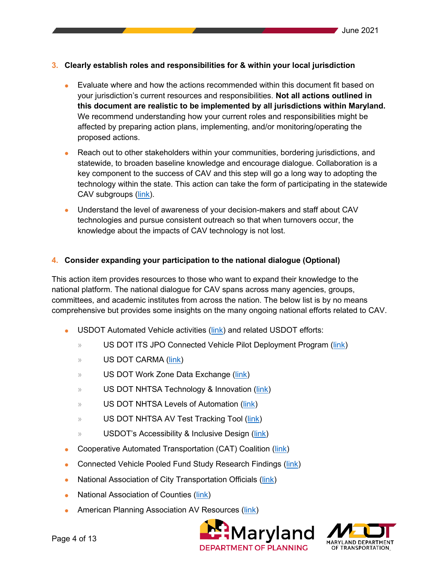#### **3. Clearly establish roles and responsibilities for & within your local jurisdiction**

- Evaluate where and how the actions recommended within this document fit based on your jurisdiction's current resources and responsibilities. **Not all actions outlined in this document are realistic to be implemented by all jurisdictions within Maryland.** We recommend understanding how your current roles and responsibilities might be affected by preparing action plans, implementing, and/or monitoring/operating the proposed actions.
- Reach out to other stakeholders within your communities, bordering jurisdictions, and statewide, to broaden baseline knowledge and encourage dialogue. Collaboration is a key component to the success of CAV and this step will go a long way to adopting the technology within the state. This action can take the form of participating in the statewide CAV subgroups [\(link\)](https://mva.maryland.gov/safety/Documents/cav-12142020/Charter-MD-CAV-Working-Group-and-subgroups.pdf).
- Understand the level of awareness of your decision-makers and staff about CAV technologies and pursue consistent outreach so that when turnovers occur, the knowledge about the impacts of CAV technology is not lost.

#### **4. Consider expanding your participation to the national dialogue (Optional)**

This action item provides resources to those who want to expand their knowledge to the national platform. The national dialogue for CAV spans across many agencies, groups, committees, and academic institutes from across the nation. The below list is by no means comprehensive but provides some insights on the many ongoing national efforts related to CAV.

- USDOT Automated Vehicle activities [\(link\)](https://www.transportation.gov/AV) and related USDOT efforts:
	- » US DOT ITS JPO Connected Vehicle Pilot Deployment Program [\(link\)](https://www.its.dot.gov/pilots/)
	- » US DOT CARMA [\(link\)](https://its.dot.gov/carma/)
	- » US DOT Work Zone Data Exchange [\(link\)](https://www.transportation.gov/av/data/wzdx)
	- » US DOT NHTSA Technology & Innovation [\(link\)](https://www.nhtsa.gov/technology-innovation)
	- » US DOT NHTSA Levels of Automation [\(link\)](https://www.nhtsa.gov/technology-innovation/automated-vehicles-safety)
	- » US DOT NHTSA AV Test Tracking Tool [\(link\)](https://www.nhtsa.gov/automated-vehicle-test-tracking-tool)
	- » USDOT's Accessibility & Inclusive Design [\(link\)](https://www.transportation.gov/accessibility)
- Cooperative Automated Transportation (CAT) Coalition [\(link\)](https://transportationops.org/CATCoalition)
- Connected Vehicle Pooled Fund Study Research Findings [\(link\)](http://www.cts.virginia.edu/cvpfs_research/)
- National Association of City Transportation Officials [\(link\)](https://nacto.org/publication/bau2/)
- National Association of Counties [\(link\)](https://www.naco.org/resources/featured/connected-autonomous-vehicles-toolkit)
- American Planning Association AV Resources [\(link\)](https://planning.org/resources/av/)



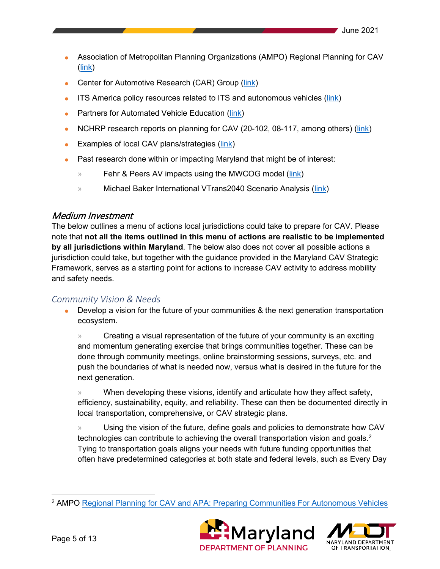- Association of Metropolitan Planning Organizations (AMPO) Regional Planning for CAV [\(link\)](https://www.ampo.org/wp-content/uploads/2018/04/Establishing-a-Regional-Planning-Framework-for-CAV-NYSAMPO.pdf)
- Center for Automotive Research (CAR) Group [\(link\)](https://www.cargroup.org/wp-content/uploads/2017/03/Planning-for-Connected-and-Automated-Vehicles-Report.pdf)
- ITS America policy resources related to ITS and autonomous vehicles [\(link\)](https://itsa.org/advocacy-materials/)
- Partners for Automated Vehicle Education [\(link\)](https://pavecampaign.org/resources/)
- NCHRP research reports on planning for CAV (20-102, 08-117, among others) [\(link\)](http://www.trb.org/NCHRP/NCHRP.aspx)
- Examples of local CAV plans/strategies [\(link\)](https://opr.ca.gov/planning/transportation/automated-vehicles.html)
- Past research done within or impacting Maryland that might be of interest:
	- » Fehr & Peers AV impacts using the MWCOG model [\(link\)](https://www.mwcog.org/file.aspx?&A=H3p%2BmH7Tw6Bi%2BfAUp3puWvyJEmNN3XJbkBCTj9fHcxk%3D)
	- » Michael Baker International VTrans2040 Scenario Analysis [\(link\)](http://www.ctb.virginia.gov/resources/2017/june/pres/presentation_vtrans_analysis.pdf)

## <span id="page-4-0"></span>Medium Investment

The below outlines a menu of actions local jurisdictions could take to prepare for CAV. Please note that **not all the items outlined in this menu of actions are realistic to be implemented by all jurisdictions within Maryland**. The below also does not cover all possible actions a jurisdiction could take, but together with the guidance provided in the Maryland CAV Strategic Framework, serves as a starting point for actions to increase CAV activity to address mobility and safety needs.

# <span id="page-4-1"></span>*Community Vision & Needs*

• Develop a vision for the future of your communities & the next generation transportation ecosystem.

» Creating a visual representation of the future of your community is an exciting and momentum generating exercise that brings communities together. These can be done through community meetings, online brainstorming sessions, surveys, etc. and push the boundaries of what is needed now, versus what is desired in the future for the next generation.

» When developing these visions, identify and articulate how they affect safety, efficiency, sustainability, equity, and reliability. These can then be documented directly in local transportation, comprehensive, or CAV strategic plans.

» Using the vision of the future, define goals and policies to demonstrate how CAV technologies can contribute to achieving the overall transportation vision and goals. $^{\text{2}}$  $^{\text{2}}$  $^{\text{2}}$ Tying to transportation goals aligns your needs with future funding opportunities that often have predetermined categories at both state and federal levels, such as Every Day

<span id="page-4-2"></span><sup>2</sup> AMPO [Regional Planning for CAV](https://www.ampo.org/wp-content/uploads/2018/04/Establishing-a-Regional-Planning-Framework-for-CAV-NYSAMPO.pdf) and [APA: Preparing Communities For Autonomous Vehicles](https://planning-org-uploaded-media.s3.amazonaws.com/publication/download_pdf/Autonomous-Vehicles-Symposium-Report.pdf)



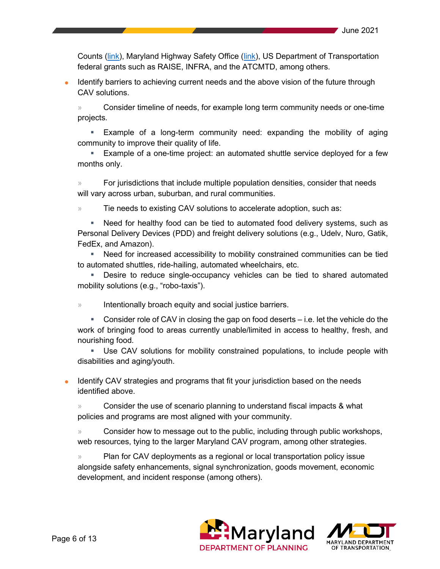Counts [\(link\)](https://mva.maryland.gov/safety/Pages/mhso/grants-management.aspx), Maryland Highway Safety Office (link), US Department of Transportation federal grants such as RAISE, INFRA, and the ATCMTD, among others.

• Identify barriers to achieving current needs and the above vision of the future through CAV solutions.

» Consider timeline of needs, for example long term community needs or one-time projects.

 Example of a long-term community need: expanding the mobility of aging community to improve their quality of life.

 Example of a one-time project: an automated shuttle service deployed for a few months only.

» For jurisdictions that include multiple population densities, consider that needs will vary across urban, suburban, and rural communities.

» Tie needs to existing CAV solutions to accelerate adoption, such as:

 Need for healthy food can be tied to automated food delivery systems, such as Personal Delivery Devices (PDD) and freight delivery solutions (e.g., Udelv, Nuro, Gatik, FedEx, and Amazon).

 Need for increased accessibility to mobility constrained communities can be tied to automated shuttles, ride-hailing, automated wheelchairs, etc.

 Desire to reduce single-occupancy vehicles can be tied to shared automated mobility solutions (e.g., "robo-taxis").

» Intentionally broach equity and social justice barriers.

 Consider role of CAV in closing the gap on food deserts – i.e. let the vehicle do the work of bringing food to areas currently unable/limited in access to healthy, fresh, and nourishing food.

 Use CAV solutions for mobility constrained populations, to include people with disabilities and aging/youth.

• Identify CAV strategies and programs that fit your jurisdiction based on the needs identified above.

» Consider the use of scenario planning to understand fiscal impacts & what policies and programs are most aligned with your community.

» Consider how to message out to the public, including through public workshops, web resources, tying to the larger Maryland CAV program, among other strategies.

» Plan for CAV deployments as a regional or local transportation policy issue alongside safety enhancements, signal synchronization, goods movement, economic development, and incident response (among others).



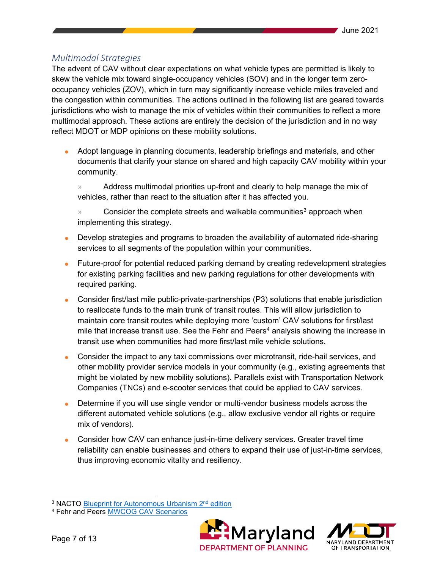# <span id="page-6-0"></span>*Multimodal Strategies*

The advent of CAV without clear expectations on what vehicle types are permitted is likely to skew the vehicle mix toward single-occupancy vehicles (SOV) and in the longer term zerooccupancy vehicles (ZOV), which in turn may significantly increase vehicle miles traveled and the congestion within communities. The actions outlined in the following list are geared towards jurisdictions who wish to manage the mix of vehicles within their communities to reflect a more multimodal approach. These actions are entirely the decision of the jurisdiction and in no way reflect MDOT or MDP opinions on these mobility solutions.

• Adopt language in planning documents, leadership briefings and materials, and other documents that clarify your stance on shared and high capacity CAV mobility within your community.

» Address multimodal priorities up-front and clearly to help manage the mix of vehicles, rather than react to the situation after it has affected you.

Consider the complete streets and walkable communities<sup>[3](#page-6-1)</sup> approach when implementing this strategy.

- Develop strategies and programs to broaden the availability of automated ride-sharing services to all segments of the population within your communities.
- Future-proof for potential reduced parking demand by creating redevelopment strategies for existing parking facilities and new parking regulations for other developments with required parking.
- Consider first/last mile public-private-partnerships (P3) solutions that enable jurisdiction to reallocate funds to the main trunk of transit routes. This will allow jurisdiction to maintain core transit routes while deploying more 'custom' CAV solutions for first/last mile that increase transit use. See the Fehr and Peers<sup>[4](#page-6-2)</sup> analysis showing the increase in transit use when communities had more first/last mile vehicle solutions.
- Consider the impact to any taxi commissions over microtransit, ride-hail services, and other mobility provider service models in your community (e.g., existing agreements that might be violated by new mobility solutions). Parallels exist with Transportation Network Companies (TNCs) and e-scooter services that could be applied to CAV services.
- Determine if you will use single vendor or multi-vendor business models across the different automated vehicle solutions (e.g., allow exclusive vendor all rights or require mix of vendors).
- Consider how CAV can enhance just-in-time delivery services. Greater travel time reliability can enable businesses and others to expand their use of just-in-time services, thus improving economic vitality and resiliency.

<span id="page-6-2"></span><sup>4</sup> Fehr and Peers [MWCOG CAV Scenarios](https://www.mwcog.org/file.aspx?&A=H3p%2BmH7Tw6Bi%2BfAUp3puWvyJEmNN3XJbkBCTj9fHcxk%3D)





<span id="page-6-1"></span><sup>&</sup>lt;sup>3</sup> NACTO Blueprint for Autonomous Urbanism 2<sup>nd</sup> edition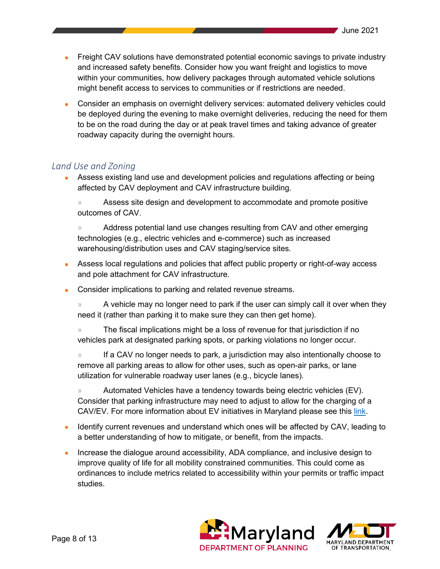- Freight CAV solutions have demonstrated potential economic savings to private industry and increased safety benefits. Consider how you want freight and logistics to move within your communities, how delivery packages through automated vehicle solutions might benefit access to services to communities or if restrictions are needed.
- Consider an emphasis on overnight delivery services: automated delivery vehicles could be deployed during the evening to make overnight deliveries, reducing the need for them to be on the road during the day or at peak travel times and taking advance of greater roadway capacity during the overnight hours.

# <span id="page-7-0"></span>*Land Use and Zoning*

• Assess existing land use and development policies and regulations affecting or being affected by CAV deployment and CAV infrastructure building.

» Assess site design and development to accommodate and promote positive outcomes of CAV.

» Address potential land use changes resulting from CAV and other emerging technologies (e.g., electric vehicles and e-commerce) such as increased warehousing/distribution uses and CAV staging/service sites.

- Assess local regulations and policies that affect public property or right-of-way access and pole attachment for CAV infrastructure.
- Consider implications to parking and related revenue streams.

» A vehicle may no longer need to park if the user can simply call it over when they need it (rather than parking it to make sure they can then get home).

» The fiscal implications might be a loss of revenue for that jurisdiction if no vehicles park at designated parking spots, or parking violations no longer occur.

» If a CAV no longer needs to park, a jurisdiction may also intentionally choose to remove all parking areas to allow for other uses, such as open-air parks, or lane utilization for vulnerable roadway user lanes (e.g., bicycle lanes).

» Automated Vehicles have a tendency towards being electric vehicles (EV). Consider that parking infrastructure may need to adjust to allow for the charging of a CAV/EV. For more information about EV initiatives in Maryland please see this [link.](https://marylandev.org/)

- Identify current revenues and understand which ones will be affected by CAV, leading to a better understanding of how to mitigate, or benefit, from the impacts.
- Increase the dialogue around accessibility, ADA compliance, and inclusive design to improve quality of life for all mobility constrained communities. This could come as ordinances to include metrics related to accessibility within your permits or traffic impact studies.



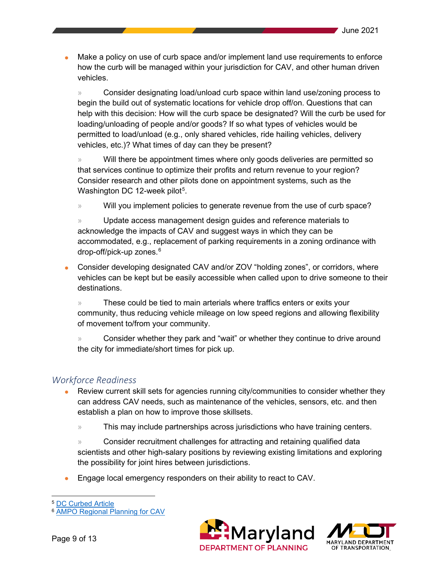Make a policy on use of curb space and/or implement land use requirements to enforce how the curb will be managed within your jurisdiction for CAV, and other human driven vehicles.

» Consider designating load/unload curb space within land use/zoning process to begin the build out of systematic locations for vehicle drop off/on. Questions that can help with this decision: How will the curb space be designated? Will the curb be used for loading/unloading of people and/or goods? If so what types of vehicles would be permitted to load/unload (e.g., only shared vehicles, ride hailing vehicles, delivery vehicles, etc.)? What times of day can they be present?

» Will there be appointment times where only goods deliveries are permitted so that services continue to optimize their profits and return revenue to your region? Consider research and other pilots done on appointment systems, such as the Washington DC 12-week pilot $^5$  $^5$ .

» Will you implement policies to generate revenue from the use of curb space?

» Update access management design guides and reference materials to acknowledge the impacts of CAV and suggest ways in which they can be accommodated, e.g., replacement of parking requirements in a zoning ordinance with drop-off/pick-up zones.<sup>[6](#page-8-2)</sup>

• Consider developing designated CAV and/or ZOV "holding zones", or corridors, where vehicles can be kept but be easily accessible when called upon to drive someone to their destinations.

» These could be tied to main arterials where traffics enters or exits your community, thus reducing vehicle mileage on low speed regions and allowing flexibility of movement to/from your community.

» Consider whether they park and "wait" or whether they continue to drive around the city for immediate/short times for pick up.

# <span id="page-8-0"></span>*Workforce Readiness*

- Review current skill sets for agencies running city/communities to consider whether they can address CAV needs, such as maintenance of the vehicles, sensors, etc. and then establish a plan on how to improve those skillsets.
	- » This may include partnerships across jurisdictions who have training centers.

» Consider recruitment challenges for attracting and retaining qualified data scientists and other high-salary positions by reviewing existing limitations and exploring the possibility for joint hires between jurisdictions.

• Engage local emergency responders on their ability to react to CAV.

<span id="page-8-2"></span><sup>6</sup> [AMPO Regional Planning for CAV](https://www.ampo.org/wp-content/uploads/2018/04/Establishing-a-Regional-Planning-Framework-for-CAV-NYSAMPO.pdf) 





<span id="page-8-1"></span><sup>5</sup> [DC Curbed Article](https://dc.curbed.com/2019/11/15/20966562/dc-curb-space-deliveries-taxis-rideshare-study)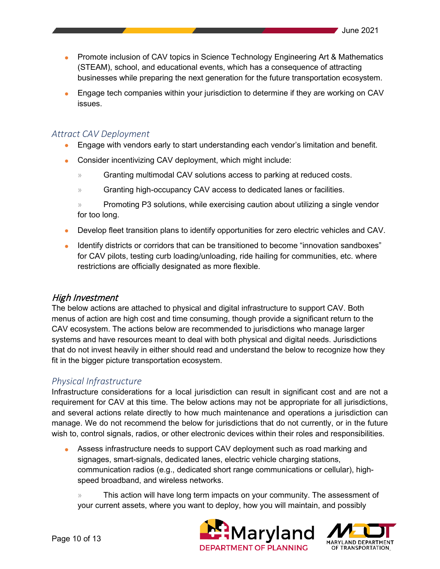- Promote inclusion of CAV topics in Science Technology Engineering Art & Mathematics (STEAM), school, and educational events, which has a consequence of attracting businesses while preparing the next generation for the future transportation ecosystem.
- Engage tech companies within your jurisdiction to determine if they are working on CAV issues.

## <span id="page-9-0"></span>*Attract CAV Deployment*

- Engage with vendors early to start understanding each vendor's limitation and benefit.
- Consider incentivizing CAV deployment, which might include:
	- » Granting multimodal CAV solutions access to parking at reduced costs.
	- » Granting high-occupancy CAV access to dedicated lanes or facilities.
	- » Promoting P3 solutions, while exercising caution about utilizing a single vendor for too long.
- Develop fleet transition plans to identify opportunities for zero electric vehicles and CAV.
- Identify districts or corridors that can be transitioned to become "innovation sandboxes" for CAV pilots, testing curb loading/unloading, ride hailing for communities, etc. where restrictions are officially designated as more flexible.

#### <span id="page-9-1"></span>High Investment

The below actions are attached to physical and digital infrastructure to support CAV. Both menus of action are high cost and time consuming, though provide a significant return to the CAV ecosystem. The actions below are recommended to jurisdictions who manage larger systems and have resources meant to deal with both physical and digital needs. Jurisdictions that do not invest heavily in either should read and understand the below to recognize how they fit in the bigger picture transportation ecosystem.

# <span id="page-9-2"></span>*Physical Infrastructure*

Infrastructure considerations for a local jurisdiction can result in significant cost and are not a requirement for CAV at this time. The below actions may not be appropriate for all jurisdictions, and several actions relate directly to how much maintenance and operations a jurisdiction can manage. We do not recommend the below for jurisdictions that do not currently, or in the future wish to, control signals, radios, or other electronic devices within their roles and responsibilities.

• Assess infrastructure needs to support CAV deployment such as road marking and signages, smart-signals, dedicated lanes, electric vehicle charging stations, communication radios (e.g., dedicated short range communications or cellular), highspeed broadband, and wireless networks.

» This action will have long term impacts on your community. The assessment of your current assets, where you want to deploy, how you will maintain, and possibly



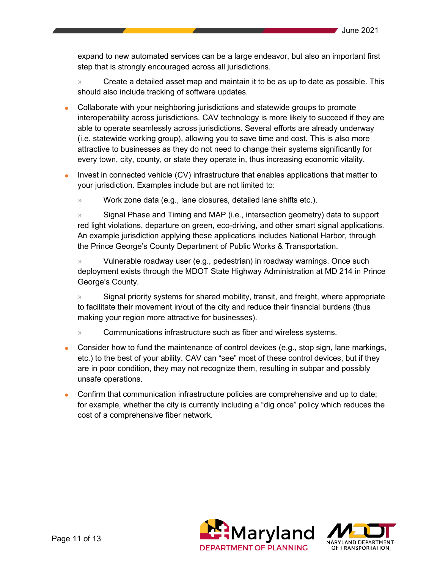expand to new automated services can be a large endeavor, but also an important first step that is strongly encouraged across all jurisdictions.

» Create a detailed asset map and maintain it to be as up to date as possible. This should also include tracking of software updates.

- Collaborate with your neighboring jurisdictions and statewide groups to promote interoperability across jurisdictions. CAV technology is more likely to succeed if they are able to operate seamlessly across jurisdictions. Several efforts are already underway (i.e. statewide working group), allowing you to save time and cost. This is also more attractive to businesses as they do not need to change their systems significantly for every town, city, county, or state they operate in, thus increasing economic vitality.
- Invest in connected vehicle (CV) infrastructure that enables applications that matter to your jurisdiction. Examples include but are not limited to:
	- » Work zone data (e.g., lane closures, detailed lane shifts etc.).

» Signal Phase and Timing and MAP (i.e., intersection geometry) data to support red light violations, departure on green, eco-driving, and other smart signal applications. An example jurisdiction applying these applications includes National Harbor, through the Prince George's County Department of Public Works & Transportation.

» Vulnerable roadway user (e.g., pedestrian) in roadway warnings. Once such deployment exists through the MDOT State Highway Administration at MD 214 in Prince George's County.

» Signal priority systems for shared mobility, transit, and freight, where appropriate to facilitate their movement in/out of the city and reduce their financial burdens (thus making your region more attractive for businesses).

- » Communications infrastructure such as fiber and wireless systems.
- Consider how to fund the maintenance of control devices (e.g., stop sign, lane markings, etc.) to the best of your ability. CAV can "see" most of these control devices, but if they are in poor condition, they may not recognize them, resulting in subpar and possibly unsafe operations.
- Confirm that communication infrastructure policies are comprehensive and up to date; for example, whether the city is currently including a "dig once" policy which reduces the cost of a comprehensive fiber network.



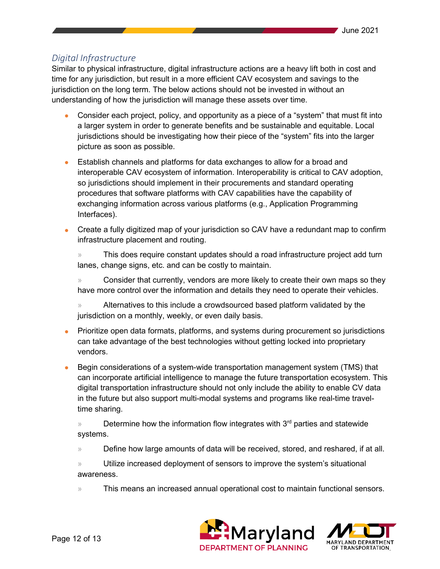# <span id="page-11-0"></span>*Digital Infrastructure*

Similar to physical infrastructure, digital infrastructure actions are a heavy lift both in cost and time for any jurisdiction, but result in a more efficient CAV ecosystem and savings to the jurisdiction on the long term. The below actions should not be invested in without an understanding of how the jurisdiction will manage these assets over time.

- Consider each project, policy, and opportunity as a piece of a "system" that must fit into a larger system in order to generate benefits and be sustainable and equitable. Local jurisdictions should be investigating how their piece of the "system" fits into the larger picture as soon as possible.
- Establish channels and platforms for data exchanges to allow for a broad and interoperable CAV ecosystem of information. Interoperability is critical to CAV adoption, so jurisdictions should implement in their procurements and standard operating procedures that software platforms with CAV capabilities have the capability of exchanging information across various platforms (e.g., Application Programming Interfaces).
- Create a fully digitized map of your jurisdiction so CAV have a redundant map to confirm infrastructure placement and routing.

» This does require constant updates should a road infrastructure project add turn lanes, change signs, etc. and can be costly to maintain.

» Consider that currently, vendors are more likely to create their own maps so they have more control over the information and details they need to operate their vehicles.

» Alternatives to this include a crowdsourced based platform validated by the jurisdiction on a monthly, weekly, or even daily basis.

- Prioritize open data formats, platforms, and systems during procurement so jurisdictions can take advantage of the best technologies without getting locked into proprietary vendors.
- Begin considerations of a system-wide transportation management system (TMS) that can incorporate artificial intelligence to manage the future transportation ecosystem. This digital transportation infrastructure should not only include the ability to enable CV data in the future but also support multi-modal systems and programs like real-time traveltime sharing.

 $\mathcal{P}$  Determine how the information flow integrates with 3<sup>rd</sup> parties and statewide systems.

» Define how large amounts of data will be received, stored, and reshared, if at all.

» Utilize increased deployment of sensors to improve the system's situational awareness.

» This means an increased annual operational cost to maintain functional sensors.